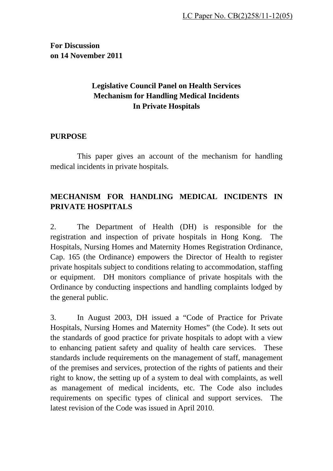**For Discussion on 14 November 2011** 

## **Legislative Council Panel on Health Services Mechanism for Handling Medical Incidents In Private Hospitals**

#### **PURPOSE**

This paper gives an account of the mechanism for handling medical incidents in private hospitals.

## **MECHANISM FOR HANDLING MEDICAL INCIDENTS IN PRIVATE HOSPITALS**

2. The Department of Health (DH) is responsible for the registration and inspection of private hospitals in Hong Kong. The Hospitals, Nursing Homes and Maternity Homes Registration Ordinance, Cap. 165 (the Ordinance) empowers the Director of Health to register private hospitals subject to conditions relating to accommodation, staffing or equipment. DH monitors compliance of private hospitals with the Ordinance by conducting inspections and handling complaints lodged by the general public.

3. In August 2003, DH issued a "Code of Practice for Private Hospitals, Nursing Homes and Maternity Homes" (the Code). It sets out the standards of good practice for private hospitals to adopt with a view to enhancing patient safety and quality of health care services. These standards include requirements on the management of staff, management of the premises and services, protection of the rights of patients and their right to know, the setting up of a system to deal with complaints, as well as management of medical incidents, etc. The Code also includes requirements on specific types of clinical and support services. The latest revision of the Code was issued in April 2010.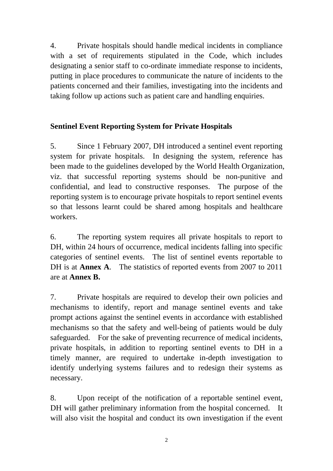4. Private hospitals should handle medical incidents in compliance with a set of requirements stipulated in the Code, which includes designating a senior staff to co-ordinate immediate response to incidents, putting in place procedures to communicate the nature of incidents to the patients concerned and their families, investigating into the incidents and taking follow up actions such as patient care and handling enquiries.

## **Sentinel Event Reporting System for Private Hospitals**

5. Since 1 February 2007, DH introduced a sentinel event reporting system for private hospitals. In designing the system, reference has been made to the guidelines developed by the World Health Organization, viz. that successful reporting systems should be non-punitive and confidential, and lead to constructive responses. The purpose of the reporting system is to encourage private hospitals to report sentinel events so that lessons learnt could be shared among hospitals and healthcare workers.

6. The reporting system requires all private hospitals to report to DH, within 24 hours of occurrence, medical incidents falling into specific categories of sentinel events. The list of sentinel events reportable to DH is at **Annex A**. The statistics of reported events from 2007 to 2011 are at **Annex B.** 

7. Private hospitals are required to develop their own policies and mechanisms to identify, report and manage sentinel events and take prompt actions against the sentinel events in accordance with established mechanisms so that the safety and well-being of patients would be duly safeguarded. For the sake of preventing recurrence of medical incidents, private hospitals, in addition to reporting sentinel events to DH in a timely manner, are required to undertake in-depth investigation to identify underlying systems failures and to redesign their systems as necessary.

8. Upon receipt of the notification of a reportable sentinel event, DH will gather preliminary information from the hospital concerned. It will also visit the hospital and conduct its own investigation if the event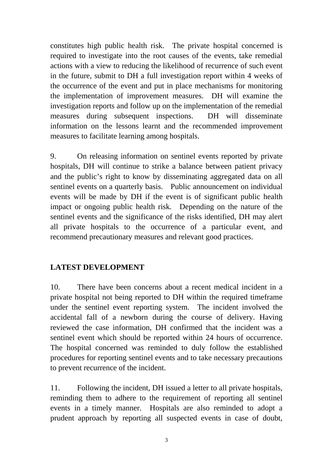constitutes high public health risk. The private hospital concerned is required to investigate into the root causes of the events, take remedial actions with a view to reducing the likelihood of recurrence of such event in the future, submit to DH a full investigation report within 4 weeks of the occurrence of the event and put in place mechanisms for monitoring the implementation of improvement measures. DH will examine the investigation reports and follow up on the implementation of the remedial measures during subsequent inspections. DH will disseminate information on the lessons learnt and the recommended improvement measures to facilitate learning among hospitals.

9. On releasing information on sentinel events reported by private hospitals, DH will continue to strike a balance between patient privacy and the public's right to know by disseminating aggregated data on all sentinel events on a quarterly basis. Public announcement on individual events will be made by DH if the event is of significant public health impact or ongoing public health risk*.*Depending on the nature of the sentinel events and the significance of the risks identified, DH may alert all private hospitals to the occurrence of a particular event, and recommend precautionary measures and relevant good practices.

#### **LATEST DEVELOPMENT**

10. There have been concerns about a recent medical incident in a private hospital not being reported to DH within the required timeframe under the sentinel event reporting system. The incident involved the accidental fall of a newborn during the course of delivery. Having reviewed the case information, DH confirmed that the incident was a sentinel event which should be reported within 24 hours of occurrence. The hospital concerned was reminded to duly follow the established procedures for reporting sentinel events and to take necessary precautions to prevent recurrence of the incident.

11. Following the incident, DH issued a letter to all private hospitals, reminding them to adhere to the requirement of reporting all sentinel events in a timely manner. Hospitals are also reminded to adopt a prudent approach by reporting all suspected events in case of doubt,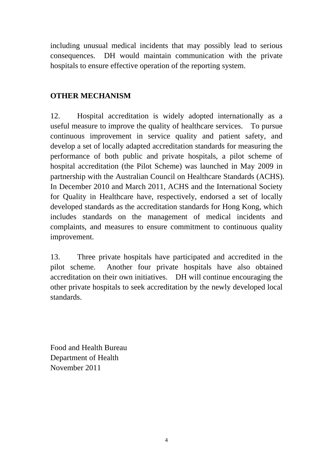including unusual medical incidents that may possibly lead to serious consequences. DH would maintain communication with the private hospitals to ensure effective operation of the reporting system.

#### **OTHER MECHANISM**

12. Hospital accreditation is widely adopted internationally as a useful measure to improve the quality of healthcare services. To pursue continuous improvement in service quality and patient safety, and develop a set of locally adapted accreditation standards for measuring the performance of both public and private hospitals, a pilot scheme of hospital accreditation (the Pilot Scheme) was launched in May 2009 in partnership with the Australian Council on Healthcare Standards (ACHS). In December 2010 and March 2011, ACHS and the International Society for Quality in Healthcare have, respectively, endorsed a set of locally developed standards as the accreditation standards for Hong Kong, which includes standards on the management of medical incidents and complaints, and measures to ensure commitment to continuous quality improvement.

13. Three private hospitals have participated and accredited in the pilot scheme. Another four private hospitals have also obtained accreditation on their own initiatives. DH will continue encouraging the other private hospitals to seek accreditation by the newly developed local standards.

Food and Health Bureau Department of Health November 2011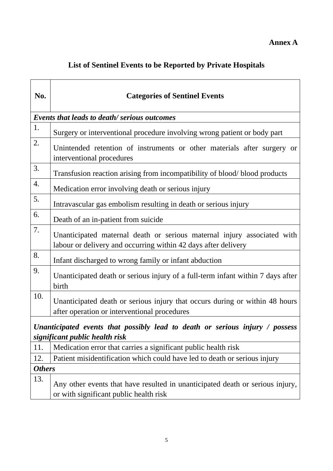# **List of Sentinel Events to be Reported by Private Hospitals**

| No.                                                                                                            | <b>Categories of Sentinel Events</b>                                                                                                      |  |  |  |  |  |
|----------------------------------------------------------------------------------------------------------------|-------------------------------------------------------------------------------------------------------------------------------------------|--|--|--|--|--|
| <b>Events that leads to death/ serious outcomes</b>                                                            |                                                                                                                                           |  |  |  |  |  |
| 1.                                                                                                             | Surgery or interventional procedure involving wrong patient or body part                                                                  |  |  |  |  |  |
| 2.                                                                                                             | Unintended retention of instruments or other materials after surgery or<br>interventional procedures                                      |  |  |  |  |  |
| 3.                                                                                                             | Transfusion reaction arising from incompatibility of blood/blood products                                                                 |  |  |  |  |  |
| 4.                                                                                                             | Medication error involving death or serious injury                                                                                        |  |  |  |  |  |
| 5.                                                                                                             | Intravascular gas embolism resulting in death or serious injury                                                                           |  |  |  |  |  |
| 6.                                                                                                             | Death of an in-patient from suicide                                                                                                       |  |  |  |  |  |
| 7.                                                                                                             | Unanticipated maternal death or serious maternal injury associated with<br>labour or delivery and occurring within 42 days after delivery |  |  |  |  |  |
| 8.                                                                                                             | Infant discharged to wrong family or infant abduction                                                                                     |  |  |  |  |  |
| 9.                                                                                                             | Unanticipated death or serious injury of a full-term infant within 7 days after<br>birth                                                  |  |  |  |  |  |
| 10.                                                                                                            | Unanticipated death or serious injury that occurs during or within 48 hours<br>after operation or interventional procedures               |  |  |  |  |  |
| Unanticipated events that possibly lead to death or serious injury / possess<br>significant public health risk |                                                                                                                                           |  |  |  |  |  |
| 11.                                                                                                            | Medication error that carries a significant public health risk                                                                            |  |  |  |  |  |
| 12.                                                                                                            | Patient misidentification which could have led to death or serious injury                                                                 |  |  |  |  |  |
| <b>Others</b>                                                                                                  |                                                                                                                                           |  |  |  |  |  |
| 13.                                                                                                            | Any other events that have resulted in unanticipated death or serious injury,<br>or with significant public health risk                   |  |  |  |  |  |